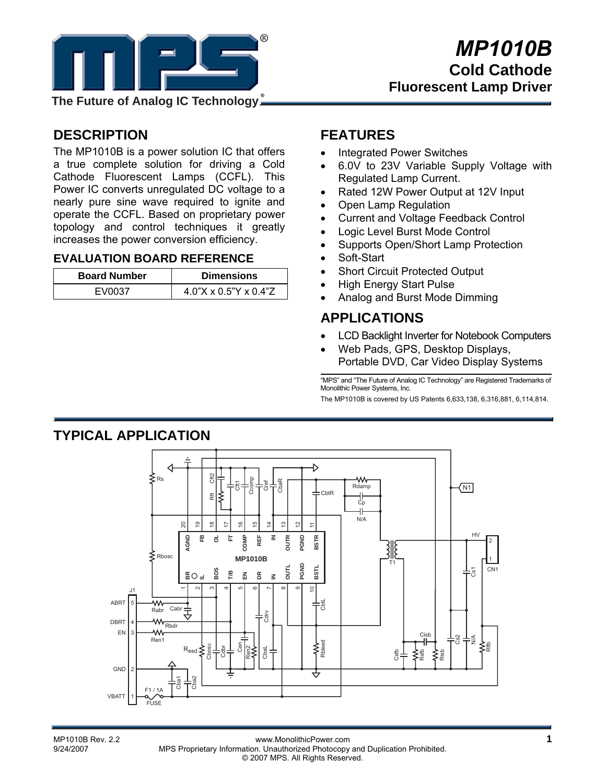

**The Future of Analog IC Technology**

# **DESCRIPTION**

The MP1010B is a power solution IC that offers a true complete solution for driving a Cold Cathode Fluorescent Lamps (CCFL). This Power IC converts unregulated DC voltage to a nearly pure sine wave required to ignite and operate the CCFL. Based on proprietary power topology and control techniques it greatly increases the power conversion efficiency.

#### **EVALUATION BOARD REFERENCE**

| <b>Board Number</b> | <b>Dimensions</b>        |
|---------------------|--------------------------|
| <b>EV0037</b>       | $4.0$ "X x 0.5"Y x 0.4"Z |

# **FEATURES**

- Integrated Power Switches
- 6.0V to 23V Variable Supply Voltage with Regulated Lamp Current.
- Rated 12W Power Output at 12V Input
- Open Lamp Regulation
- Current and Voltage Feedback Control
- Logic Level Burst Mode Control
- Supports Open/Short Lamp Protection
- Soft-Start
- Short Circuit Protected Output
- High Energy Start Pulse
- Analog and Burst Mode Dimming

### **APPLICATIONS**

- LCD Backlight Inverter for Notebook Computers
- Web Pads, GPS, Desktop Displays, Portable DVD, Car Video Display Systems

"MPS" and "The Future of Analog IC Technology" are Registered Trademarks of Monolithic Power Systems, Inc.

The MP1010B is covered by US Patents 6,633,138, 6,316,881, 6,114,814.



**TYPICAL APPLICATION**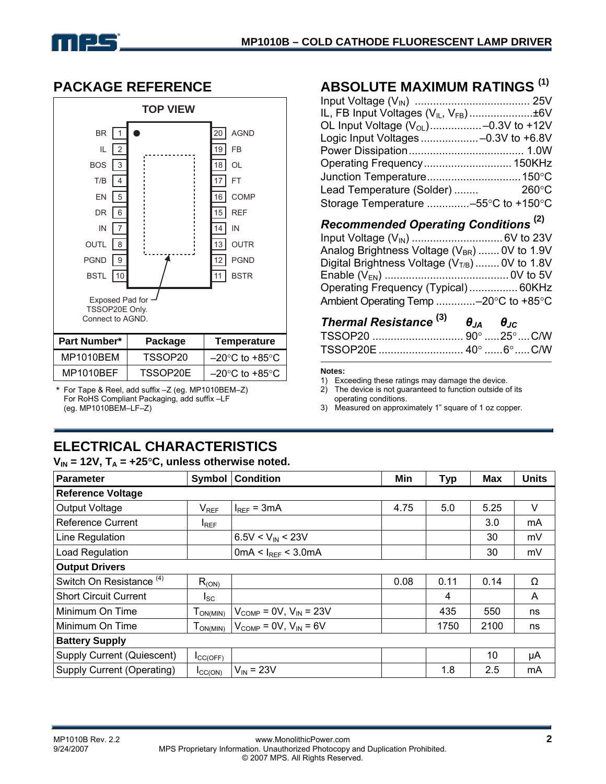# **PACKAGE REFERENCE**



| <b>Part Number*</b> | Package  | Temperature                         |
|---------------------|----------|-------------------------------------|
| MP1010BEM           | TSSOP20  | $-20^{\circ}$ C to +85 $^{\circ}$ C |
| MP1010BEF           | TSSOP20E | $-20^{\circ}$ C to $+85^{\circ}$ C  |

\* For Tape & Reel, add suffix –Z (eg. MP1010BEM–Z) For RoHS Compliant Packaging, add suffix –LF (eg. MP1010BEM–LF–Z)

# **ABSOLUTE MAXIMUM RATINGS (1)**

| IL, FB Input Voltages (V <sub>IL</sub> , V <sub>FB</sub> )±6V |  |
|---------------------------------------------------------------|--|
| OL Input Voltage $(V_{OL})$ -0.3V to +12V                     |  |
| Logic Input Voltages -0.3V to +6.8V                           |  |
|                                                               |  |
| Operating Frequency 150KHz                                    |  |
|                                                               |  |
| Lead Temperature (Solder)  260°C                              |  |
| Storage Temperature -55°C to +150°C                           |  |

#### *Recommended Operating Conditions* **(2)**

| Analog Brightness Voltage $(V_{BR})$ 0V to 1.9V                     |  |
|---------------------------------------------------------------------|--|
| Digital Brightness Voltage $(VT/B)$ 0V to 1.8V                      |  |
|                                                                     |  |
| Operating Frequency (Typical) 60KHz                                 |  |
| Ambient Operating Temp -20 $\rm{^{\circ}C}$ to +85 $\rm{^{\circ}C}$ |  |
|                                                                     |  |

| Thermal Resistance $^{(3)}$ $\theta_{JA}$ $\theta_{JC}$ |  |  |
|---------------------------------------------------------|--|--|
|                                                         |  |  |
|                                                         |  |  |

#### **Notes:**

1) Exceeding these ratings may damage the device.<br>2) The device is not quaranteed to function outside of

The device is not quaranteed to function outside of its operating conditions.

3) Measured on approximately 1" square of 1 oz copper.

# **ELECTRICAL CHARACTERISTICS**

|  |  |  |  | $V_{IN}$ = 12V, T <sub>A</sub> = +25°C, unless otherwise noted. |  |
|--|--|--|--|-----------------------------------------------------------------|--|
|--|--|--|--|-----------------------------------------------------------------|--|

| Parameter<br>Symbol                 |                                           | <b>Condition</b>                               | Min  | <b>Typ</b> | <b>Max</b> | <b>Units</b> |  |
|-------------------------------------|-------------------------------------------|------------------------------------------------|------|------------|------------|--------------|--|
| <b>Reference Voltage</b>            |                                           |                                                |      |            |            |              |  |
| Output Voltage                      | $V_{REF}$                                 | $I_{REF}$ = 3mA                                | 4.75 | 5.0        | 5.25       | V            |  |
| Reference Current                   | $I_{REF}$                                 |                                                |      |            | 3.0        | mA           |  |
| Line Regulation                     |                                           | $6.5V < V_{IN} < 23V$                          |      |            | 30         | mV           |  |
| Load Regulation                     |                                           | 0mA < $I_{REF}$ < 3.0mA                        |      |            | 30         | mV           |  |
| <b>Output Drivers</b>               |                                           |                                                |      |            |            |              |  |
| Switch On Resistance <sup>(4)</sup> | $R_{(ON)}$                                |                                                | 0.08 | 0.11       | 0.14       | Ω            |  |
| <b>Short Circuit Current</b>        | <sub>sc</sub>                             |                                                |      | 4          |            | A            |  |
| Minimum On Time                     | ${\mathsf T}_{\mathsf{ON}(\mathsf{MIN})}$ | $V_{\text{COMP}} = 0V$ , $V_{\text{IN}} = 23V$ |      | 435        | 550        | ns           |  |
| l Minimum On Time<br>$T_{ON(MIN)}$  |                                           | $V_{\text{COMP}} = 0V$ , $V_{\text{IN}} = 6V$  |      | 1750       | 2100       | ns           |  |
| <b>Battery Supply</b>               |                                           |                                                |      |            |            |              |  |
| Supply Current (Quiescent)          | $I_{\text{CC(OFF)}}$                      |                                                |      |            | 10         | μA           |  |
| Supply Current (Operating)          | $I_{\text{CC(ON)}}$                       | $V_{IN}$ = 23V                                 |      | 1.8        | 2.5        | mA           |  |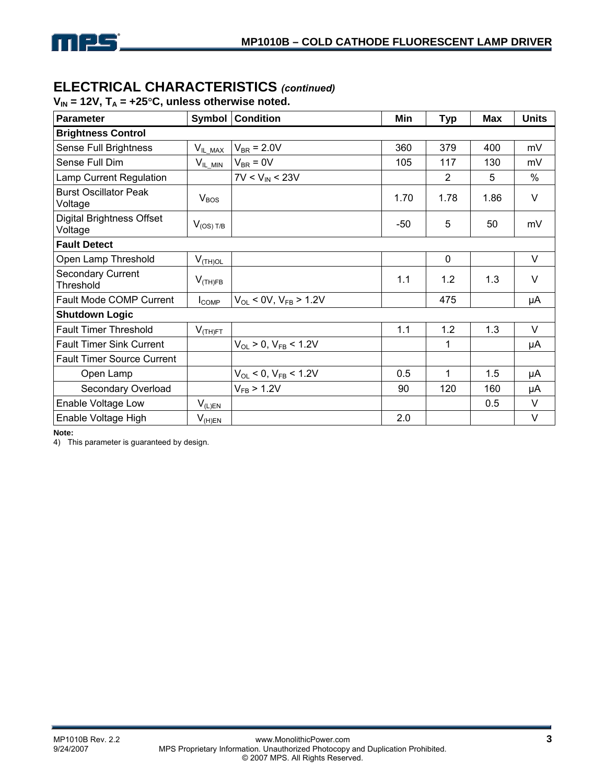

## **ELECTRICAL CHARACTERISTICS** *(continued)*

| $V_{IN}$ = 12V, T <sub>A</sub> = +25°C, unless otherwise noted. |  |
|-----------------------------------------------------------------|--|
|-----------------------------------------------------------------|--|

| <b>Parameter</b>                            | <b>Symbol</b>    | <b>Condition</b>               | Min  | <b>Typ</b>     | <b>Max</b> | <b>Units</b> |  |
|---------------------------------------------|------------------|--------------------------------|------|----------------|------------|--------------|--|
| <b>Brightness Control</b>                   |                  |                                |      |                |            |              |  |
| Sense Full Brightness                       | $V_{IL\_MAX}$    | $V_{BR}$ = 2.0V                | 360  | 379            | 400        | mV           |  |
| Sense Full Dim                              | $V_{IL\_MIN}$    | $V_{BR}$ = 0V                  | 105  | 117            | 130        | mV           |  |
| Lamp Current Regulation                     |                  | $7V < V_{IN} < 23V$            |      | $\overline{2}$ | 5          | $\%$         |  |
| <b>Burst Oscillator Peak</b><br>Voltage     | V <sub>BOS</sub> |                                | 1.70 | 1.78           | 1.86       | $\vee$       |  |
| <b>Digital Brightness Offset</b><br>Voltage | $V_{(OS) T/B}$   |                                | -50  | 5              | 50         | mV           |  |
| <b>Fault Detect</b>                         |                  |                                |      |                |            |              |  |
| Open Lamp Threshold                         | $V_{(TH)OL}$     |                                |      | $\mathbf 0$    |            | V            |  |
| <b>Secondary Current</b><br>Threshold       | $V_{(TH)FB}$     |                                | 1.1  | 1.2            | 1.3        | V            |  |
| <b>Fault Mode COMP Current</b>              | $I_{COMP}$       | $V_{OL}$ < 0V, $V_{FB}$ > 1.2V |      | 475            |            | μA           |  |
| <b>Shutdown Logic</b>                       |                  |                                |      |                |            |              |  |
| <b>Fault Timer Threshold</b>                | $V_{(TH)FT}$     |                                | 1.1  | 1.2            | 1.3        | V            |  |
| <b>Fault Timer Sink Current</b>             |                  | $V_{OL}$ > 0, $V_{FB}$ < 1.2V  |      | 1              |            | μA           |  |
| <b>Fault Timer Source Current</b>           |                  |                                |      |                |            |              |  |
| Open Lamp                                   |                  | $V_{OL}$ < 0, $V_{FB}$ < 1.2V  | 0.5  | 1              | 1.5        | μA           |  |
| Secondary Overload                          |                  | $V_{FB}$ > 1.2V                | 90   | 120            | 160        | μA           |  |
| Enable Voltage Low                          | $V_{(L)EN}$      |                                |      |                | 0.5        | V            |  |
| Enable Voltage High                         | $V_{(H)EN}$      |                                | 2.0  |                |            | V            |  |

**Note:** 

4) This parameter is guaranteed by design.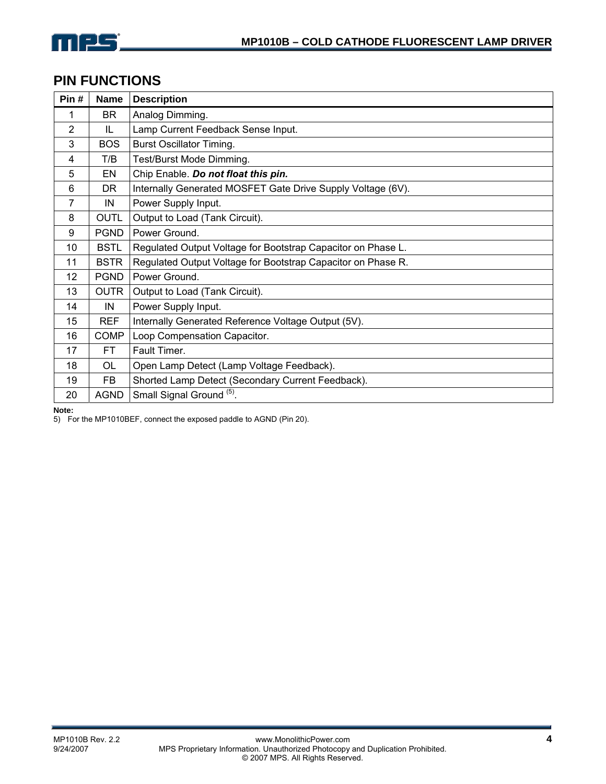

## **PIN FUNCTIONS**

| Pin#           | <b>Name</b> | <b>Description</b>                                           |
|----------------|-------------|--------------------------------------------------------------|
| 1              | <b>BR</b>   | Analog Dimming.                                              |
| $\overline{2}$ | IL          | Lamp Current Feedback Sense Input.                           |
| 3              | <b>BOS</b>  | <b>Burst Oscillator Timing.</b>                              |
| 4              | T/B         | Test/Burst Mode Dimming.                                     |
| 5              | EN          | Chip Enable. Do not float this pin.                          |
| 6              | DR.         | Internally Generated MOSFET Gate Drive Supply Voltage (6V).  |
| $\overline{7}$ | IN          | Power Supply Input.                                          |
| 8              | <b>OUTL</b> | Output to Load (Tank Circuit).                               |
| 9              | <b>PGND</b> | Power Ground.                                                |
| 10             | <b>BSTL</b> | Regulated Output Voltage for Bootstrap Capacitor on Phase L. |
| 11             | <b>BSTR</b> | Regulated Output Voltage for Bootstrap Capacitor on Phase R. |
| 12             | <b>PGND</b> | Power Ground.                                                |
| 13             | <b>OUTR</b> | Output to Load (Tank Circuit).                               |
| 14             | IN          | Power Supply Input.                                          |
| 15             | <b>REF</b>  | Internally Generated Reference Voltage Output (5V).          |
| 16             | <b>COMP</b> | Loop Compensation Capacitor.                                 |
| 17             | <b>FT</b>   | Fault Timer.                                                 |
| 18             | <b>OL</b>   | Open Lamp Detect (Lamp Voltage Feedback).                    |
| 19             | FB          | Shorted Lamp Detect (Secondary Current Feedback).            |
| 20             | <b>AGND</b> | Small Signal Ground (5)                                      |

**Note:** 

5) For the MP1010BEF, connect the exposed paddle to AGND (Pin 20).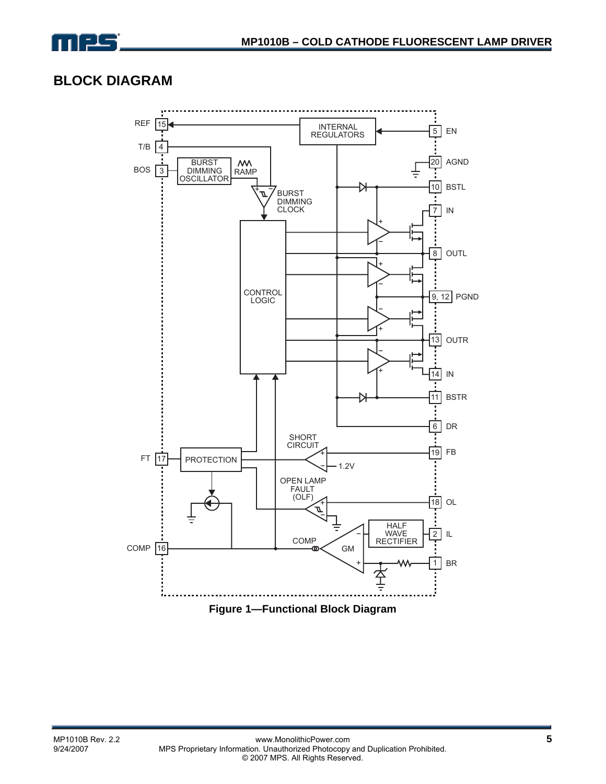

# **BLOCK DIAGRAM**

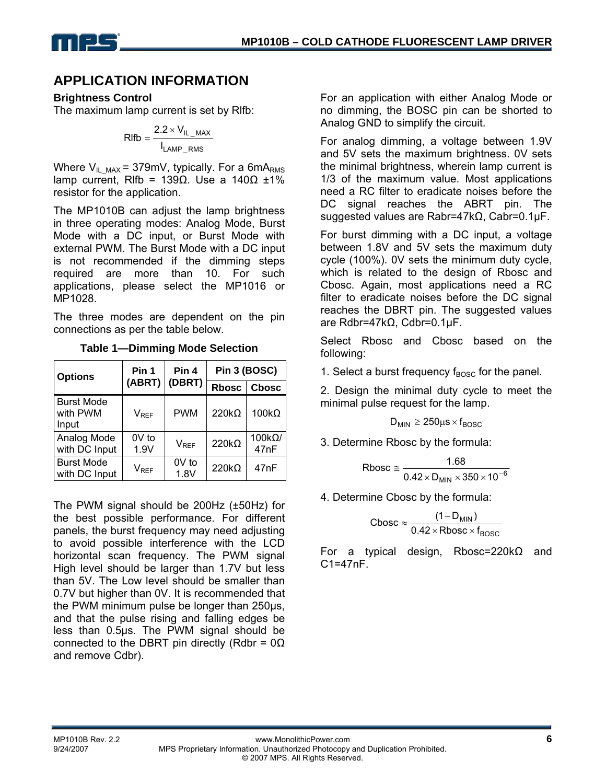

# **APPLICATION INFORMATION**

#### **Brightness Control**

The maximum lamp current is set by Rlfb:

$$
RIfb = \frac{2.2 \times V_{IL\_MAX}}{I_{LAMP\_RMS}}
$$

Where  $V_{IL\_MAX}$  = 379mV, typically. For a 6mA<sub>RMS</sub> lamp current, Rlfb = 139Ω. Use a 140Ω ±1% resistor for the application.

The MP1010B can adjust the lamp brightness in three operating modes: Analog Mode, Burst Mode with a DC input, or Burst Mode with external PWM. The Burst Mode with a DC input is not recommended if the dimming steps required are more than 10. For such applications, please select the MP1016 or MP1028.

The three modes are dependent on the pin connections as per the table below.

| <b>Options</b>                         | Pin 1         | Pin 4         | Pin 3 (BOSC) |                       |  |
|----------------------------------------|---------------|---------------|--------------|-----------------------|--|
|                                        | (ABRT)        | (DBRT)        | <b>Rbosc</b> | <b>Chosc</b>          |  |
| <b>Burst Mode</b><br>with PWM<br>Input | $V_{REF}$     | <b>PWM</b>    | $220k\Omega$ | $100k\Omega$          |  |
| Analog Mode<br>with DC Input           | 0V to<br>1.9V | $V_{REF}$     | $220k\Omega$ | $100k\Omega/$<br>47nF |  |
| <b>Burst Mode</b><br>with DC Input     | $V_{REF}$     | 0V to<br>1.8V | $220k\Omega$ | 47nF                  |  |

**Table 1—Dimming Mode Selection** 

The PWM signal should be 200Hz (±50Hz) for the best possible performance. For different panels, the burst frequency may need adjusting to avoid possible interference with the LCD horizontal scan frequency. The PWM signal High level should be larger than 1.7V but less than 5V. The Low level should be smaller than 0.7V but higher than 0V. It is recommended that the PWM minimum pulse be longer than 250µs, and that the pulse rising and falling edges be less than 0.5µs. The PWM signal should be connected to the DBRT pin directly (Rdbr =  $0\Omega$ ) and remove Cdbr).

For an application with either Analog Mode or no dimming, the BOSC pin can be shorted to Analog GND to simplify the circuit.

For analog dimming, a voltage between 1.9V and 5V sets the maximum brightness. 0V sets the minimal brightness, wherein lamp current is 1/3 of the maximum value. Most applications need a RC filter to eradicate noises before the DC signal reaches the ABRT pin. The suggested values are Rabr=47kΩ, Cabr=0.1µF.

For burst dimming with a DC input, a voltage between 1.8V and 5V sets the maximum duty cycle (100%). 0V sets the minimum duty cycle, which is related to the design of Rbosc and Cbosc. Again, most applications need a RC filter to eradicate noises before the DC signal reaches the DBRT pin. The suggested values are Rdbr=47kΩ, Cdbr=0.1µF.

Select Rbosc and Cbosc based on the following:

1. Select a burst frequency  $f_{\text{BOSC}}$  for the panel.

2. Design the minimal duty cycle to meet the minimal pulse request for the lamp.

$$
D_{MIN} \ge 250 \mu s \times f_{BOSC}
$$

3. Determine Rbosc by the formula:

$$
Rbox \equiv \frac{1.68}{0.42 \times D_{\text{MIN}} \times 350 \times 10^{-6}}
$$

4. Determine Cbosc by the formula:

$$
C\textrm{bosc} \approx \frac{(1 - D_{\textrm{MIN}})}{0.42 \times \textrm{Rbosc} \times f_{\textrm{BOSC}}}
$$

For a typical design, Rbosc=220kΩ and C1=47nF.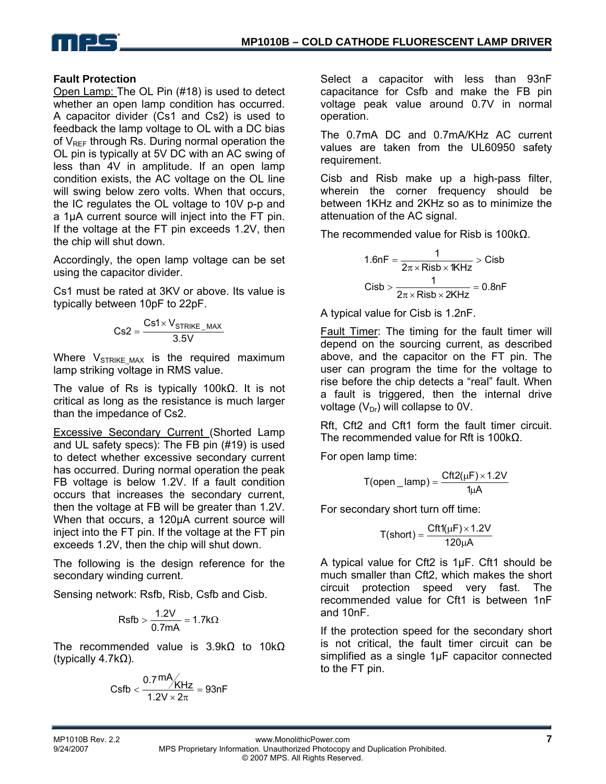

#### **Fault Protection**

Open Lamp: The OL Pin (#18) is used to detect whether an open lamp condition has occurred. A capacitor divider (Cs1 and Cs2) is used to feedback the lamp voltage to OL with a DC bias of  $V_{REF}$  through Rs. During normal operation the OL pin is typically at 5V DC with an AC swing of less than 4V in amplitude. If an open lamp condition exists, the AC voltage on the OL line will swing below zero volts. When that occurs, the IC regulates the OL voltage to 10V p-p and a 1µA current source will inject into the FT pin. If the voltage at the FT pin exceeds 1.2V, then the chip will shut down.

Accordingly, the open lamp voltage can be set using the capacitor divider.

Cs1 must be rated at 3KV or above. Its value is typically between 10pF to 22pF.

$$
Cs2 = \frac{Cs1 \times V_{STRIKE\_MAX}}{3.5V}
$$

Where  $V_{STRIKEMAX}$  is the required maximum lamp striking voltage in RMS value.

The value of Rs is typically 100kΩ. It is not critical as long as the resistance is much larger than the impedance of Cs2.

Excessive Secondary Current (Shorted Lamp and UL safety specs): The FB pin (#19) is used to detect whether excessive secondary current has occurred. During normal operation the peak FB voltage is below 1.2V. If a fault condition occurs that increases the secondary current, then the voltage at FB will be greater than 1.2V. When that occurs, a 120µA current source will inject into the FT pin. If the voltage at the FT pin exceeds 1.2V, then the chip will shut down.

The following is the design reference for the secondary winding current.

Sensing network: Rsfb, Risb, Csfb and Cisb.

$$
\mathsf{Rsfb} > \frac{1.2V}{0.7mA} = 1.7k\Omega
$$

The recommended value is 3.9kΩ to 10kΩ (typically 4.7kΩ).

Csfb 
$$
<
$$
  $\frac{0.7 \text{ mA}}{1.2 \text{V} \times 2\pi} = 93 \text{nF}$ 

Select a capacitor with less than 93nF capacitance for Csfb and make the FB pin voltage peak value around 0.7V in normal operation.

The 0.7mA DC and 0.7mA/KHz AC current values are taken from the UL60950 safety requirement.

Cisb and Risb make up a high-pass filter, wherein the corner frequency should be between 1KHz and 2KHz so as to minimize the attenuation of the AC signal.

The recommended value for Risb is 100kΩ.

$$
1.6nF = \frac{1}{2\pi \times Rib \times 1KHz} > Cisb
$$

$$
Cisb > \frac{1}{2\pi \times Risk \times 2KHz} = 0.8nF
$$

A typical value for Cisb is 1.2nF.

Fault Timer: The timing for the fault timer will depend on the sourcing current, as described above, and the capacitor on the FT pin. The user can program the time for the voltage to rise before the chip detects a "real" fault. When a fault is triggered, then the internal drive voltage  $(V_{Dr})$  will collapse to 0V.

Rft, Cft2 and Cft1 form the fault timer circuit. The recommended value for Rft is 100kΩ.

For open lamp time:

$$
T(open\_lamp) = \frac{Cft2(\mu F) \times 1.2V}{1\mu A}
$$

For secondary short turn off time:

$$
T(short) = \frac{Cft1(\mu F) \times 1.2V}{120\mu A}
$$

A typical value for Cft2 is 1µF. Cft1 should be much smaller than Cft2, which makes the short circuit protection speed very fast. The recommended value for Cft1 is between 1nF and 10nF.

If the protection speed for the secondary short is not critical, the fault timer circuit can be simplified as a single 1µF capacitor connected to the FT pin.

MP1010B Rev. 2.2 www.MonolithicPower.com **7** MPS Proprietary Information. Unauthorized Photocopy and Duplication Prohibited. © 2007 MPS. All Rights Reserved.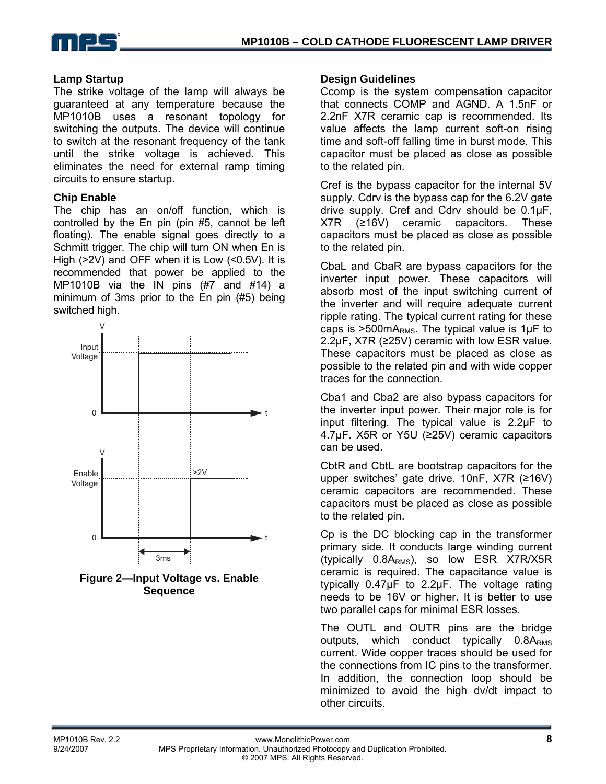

#### **Lamp Startup**

The strike voltage of the lamp will always be guaranteed at any temperature because the MP1010B uses a resonant topology for switching the outputs. The device will continue to switch at the resonant frequency of the tank until the strike voltage is achieved. This eliminates the need for external ramp timing circuits to ensure startup.

#### **Chip Enable**

The chip has an on/off function, which is controlled by the En pin (pin #5, cannot be left floating). The enable signal goes directly to a Schmitt trigger. The chip will turn ON when En is High (>2V) and OFF when it is Low (<0.5V). It is recommended that power be applied to the MP1010B via the IN pins (#7 and #14) a minimum of 3ms prior to the En pin (#5) being switched high.



**Figure 2—Input Voltage vs. Enable Sequence** 

#### **Design Guidelines**

Ccomp is the system compensation capacitor that connects COMP and AGND. A 1.5nF or 2.2nF X7R ceramic cap is recommended. Its value affects the lamp current soft-on rising time and soft-off falling time in burst mode. This capacitor must be placed as close as possible to the related pin.

Cref is the bypass capacitor for the internal 5V supply. Cdrv is the bypass cap for the 6.2V gate drive supply. Cref and Cdrv should be 0.1µF, X7R (≥16V) ceramic capacitors. These capacitors must be placed as close as possible to the related pin.

CbaL and CbaR are bypass capacitors for the inverter input power. These capacitors will absorb most of the input switching current of the inverter and will require adequate current ripple rating. The typical current rating for these caps is  $>500$  mA<sub>RMS</sub>. The typical value is 1 $\mu$ F to 2.2µF, X7R (≥25V) ceramic with low ESR value. These capacitors must be placed as close as possible to the related pin and with wide copper traces for the connection.

Cba1 and Cba2 are also bypass capacitors for the inverter input power. Their major role is for input filtering. The typical value is 2.2µF to 4.7µF. X5R or Y5U (≥25V) ceramic capacitors can be used.

CbtR and CbtL are bootstrap capacitors for the upper switches' gate drive. 10nF, X7R (≥16V) ceramic capacitors are recommended. These capacitors must be placed as close as possible to the related pin.

Cp is the DC blocking cap in the transformer primary side. It conducts large winding current (typically  $0.8A_{RMS}$ ), so low ESR X7R/X5R ceramic is required. The capacitance value is typically 0.47µF to 2.2µF. The voltage rating needs to be 16V or higher. It is better to use two parallel caps for minimal ESR losses.

The OUTL and OUTR pins are the bridge outputs, which conduct typically  $0.8A<sub>RMS</sub>$ current. Wide copper traces should be used for the connections from IC pins to the transformer. In addition, the connection loop should be minimized to avoid the high dv/dt impact to other circuits.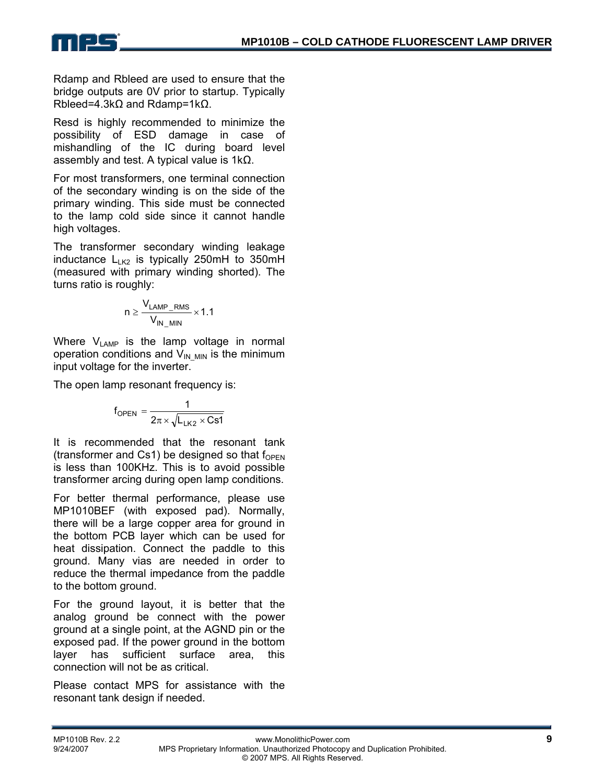Rdamp and Rbleed are used to ensure that the bridge outputs are 0V prior to startup. Typically Rbleed=4.3kΩ and Rdamp=1kΩ.

Resd is highly recommended to minimize the possibility of ESD damage in case of mishandling of the IC during board level assembly and test. A typical value is  $1kΩ$ .

For most transformers, one terminal connection of the secondary winding is on the side of the primary winding. This side must be connected to the lamp cold side since it cannot handle high voltages.

The transformer secondary winding leakage inductance  $L_{LK2}$  is typically 250mH to 350mH (measured with primary winding shorted). The turns ratio is roughly:

$$
n \geq \frac{V_{LAMP\_RMS}}{V_{IN\_MIN}} \times 1.1
$$

Where  $V_{\text{LAMP}}$  is the lamp voltage in normal operation conditions and  $V_{IN-MIN}$  is the minimum input voltage for the inverter.

The open lamp resonant frequency is:

$$
f_{\text{OPEN}} = \frac{1}{2\pi \times \sqrt{L_{LK2} \times C s1}}
$$

It is recommended that the resonant tank (transformer and Cs1) be designed so that  $f_{\text{OPEN}}$ is less than 100KHz. This is to avoid possible transformer arcing during open lamp conditions.

For better thermal performance, please use MP1010BEF (with exposed pad). Normally, there will be a large copper area for ground in the bottom PCB layer which can be used for heat dissipation. Connect the paddle to this ground. Many vias are needed in order to reduce the thermal impedance from the paddle to the bottom ground.

For the ground layout, it is better that the analog ground be connect with the power ground at a single point, at the AGND pin or the exposed pad. If the power ground in the bottom layer has sufficient surface area, this connection will not be as critical.

Please contact MPS for assistance with the resonant tank design if needed.